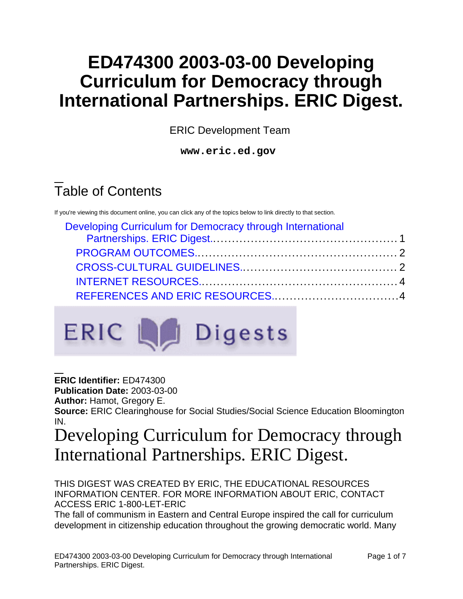# **ED474300 2003-03-00 Developing Curriculum for Democracy through International Partnerships. ERIC Digest.**

ERIC Development Team

**www.eric.ed.gov**

# Table of Contents

If you're viewing this document online, you can click any of the topics below to link directly to that section.

| Developing Curriculum for Democracy through International |  |  |
|-----------------------------------------------------------|--|--|
|                                                           |  |  |
|                                                           |  |  |



**ERIC Identifier:** ED474300

**Publication Date:** 2003-03-00

**Author:** Hamot, Gregory E.

**Source:** ERIC Clearinghouse for Social Studies/Social Science Education Bloomington IN.

## <span id="page-0-0"></span>Developing Curriculum for Democracy through International Partnerships. ERIC Digest.

THIS DIGEST WAS CREATED BY ERIC, THE EDUCATIONAL RESOURCES INFORMATION CENTER. FOR MORE INFORMATION ABOUT ERIC, CONTACT ACCESS ERIC 1-800-LET-ERIC

The fall of communism in Eastern and Central Europe inspired the call for curriculum development in citizenship education throughout the growing democratic world. Many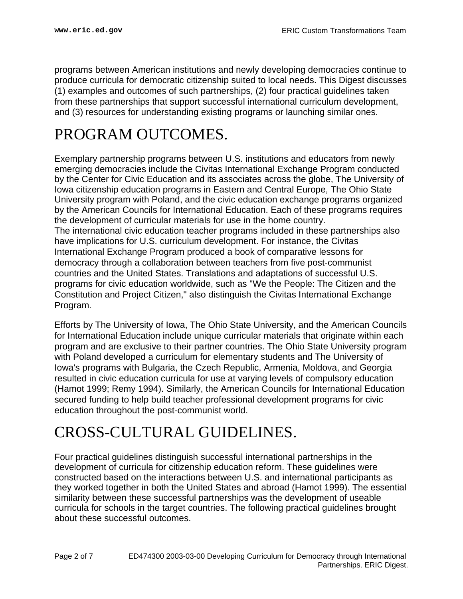programs between American institutions and newly developing democracies continue to produce curricula for democratic citizenship suited to local needs. This Digest discusses (1) examples and outcomes of such partnerships, (2) four practical guidelines taken from these partnerships that support successful international curriculum development, and (3) resources for understanding existing programs or launching similar ones.

## <span id="page-1-0"></span>PROGRAM OUTCOMES.

Exemplary partnership programs between U.S. institutions and educators from newly emerging democracies include the Civitas International Exchange Program conducted by the Center for Civic Education and its associates across the globe, The University of Iowa citizenship education programs in Eastern and Central Europe, The Ohio State University program with Poland, and the civic education exchange programs organized by the American Councils for International Education. Each of these programs requires the development of curricular materials for use in the home country. The international civic education teacher programs included in these partnerships also have implications for U.S. curriculum development. For instance, the Civitas International Exchange Program produced a book of comparative lessons for democracy through a collaboration between teachers from five post-communist countries and the United States. Translations and adaptations of successful U.S. programs for civic education worldwide, such as "We the People: The Citizen and the Constitution and Project Citizen," also distinguish the Civitas International Exchange Program.

Efforts by The University of Iowa, The Ohio State University, and the American Councils for International Education include unique curricular materials that originate within each program and are exclusive to their partner countries. The Ohio State University program with Poland developed a curriculum for elementary students and The University of Iowa's programs with Bulgaria, the Czech Republic, Armenia, Moldova, and Georgia resulted in civic education curricula for use at varying levels of compulsory education (Hamot 1999; Remy 1994). Similarly, the American Councils for International Education secured funding to help build teacher professional development programs for civic education throughout the post-communist world.

## <span id="page-1-1"></span>CROSS-CULTURAL GUIDELINES.

Four practical guidelines distinguish successful international partnerships in the development of curricula for citizenship education reform. These guidelines were constructed based on the interactions between U.S. and international participants as they worked together in both the United States and abroad (Hamot 1999). The essential similarity between these successful partnerships was the development of useable curricula for schools in the target countries. The following practical guidelines brought about these successful outcomes.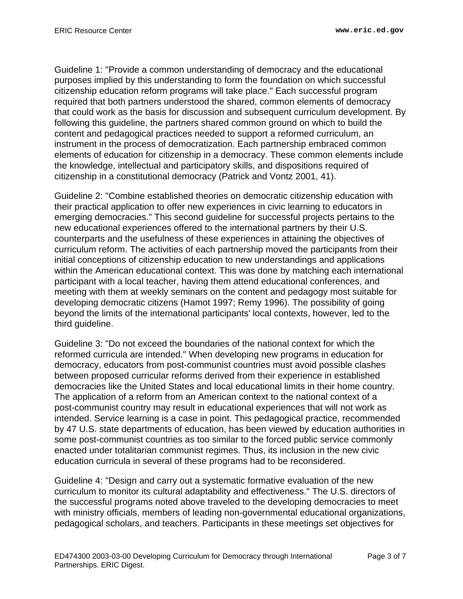Guideline 1: "Provide a common understanding of democracy and the educational purposes implied by this understanding to form the foundation on which successful citizenship education reform programs will take place." Each successful program required that both partners understood the shared, common elements of democracy that could work as the basis for discussion and subsequent curriculum development. By following this guideline, the partners shared common ground on which to build the content and pedagogical practices needed to support a reformed curriculum, an instrument in the process of democratization. Each partnership embraced common elements of education for citizenship in a democracy. These common elements include the knowledge, intellectual and participatory skills, and dispositions required of citizenship in a constitutional democracy (Patrick and Vontz 2001, 41).

Guideline 2: "Combine established theories on democratic citizenship education with their practical application to offer new experiences in civic learning to educators in emerging democracies." This second guideline for successful projects pertains to the new educational experiences offered to the international partners by their U.S. counterparts and the usefulness of these experiences in attaining the objectives of curriculum reform. The activities of each partnership moved the participants from their initial conceptions of citizenship education to new understandings and applications within the American educational context. This was done by matching each international participant with a local teacher, having them attend educational conferences, and meeting with them at weekly seminars on the content and pedagogy most suitable for developing democratic citizens (Hamot 1997; Remy 1996). The possibility of going beyond the limits of the international participants' local contexts, however, led to the third guideline.

Guideline 3: "Do not exceed the boundaries of the national context for which the reformed curricula are intended." When developing new programs in education for democracy, educators from post-communist countries must avoid possible clashes between proposed curricular reforms derived from their experience in established democracies like the United States and local educational limits in their home country. The application of a reform from an American context to the national context of a post-communist country may result in educational experiences that will not work as intended. Service learning is a case in point. This pedagogical practice, recommended by 47 U.S. state departments of education, has been viewed by education authorities in some post-communist countries as too similar to the forced public service commonly enacted under totalitarian communist regimes. Thus, its inclusion in the new civic education curricula in several of these programs had to be reconsidered.

Guideline 4: "Design and carry out a systematic formative evaluation of the new curriculum to monitor its cultural adaptability and effectiveness." The U.S. directors of the successful programs noted above traveled to the developing democracies to meet with ministry officials, members of leading non-governmental educational organizations, pedagogical scholars, and teachers. Participants in these meetings set objectives for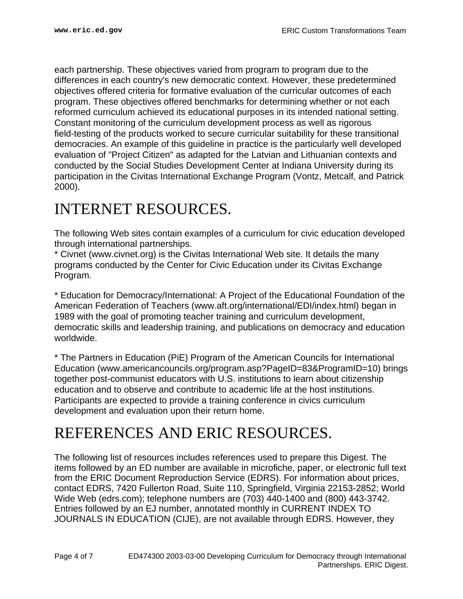each partnership. These objectives varied from program to program due to the differences in each country's new democratic context. However, these predetermined objectives offered criteria for formative evaluation of the curricular outcomes of each program. These objectives offered benchmarks for determining whether or not each reformed curriculum achieved its educational purposes in its intended national setting. Constant monitoring of the curriculum development process as well as rigorous field-testing of the products worked to secure curricular suitability for these transitional democracies. An example of this guideline in practice is the particularly well developed evaluation of "Project Citizen" as adapted for the Latvian and Lithuanian contexts and conducted by the Social Studies Development Center at Indiana University during its participation in the Civitas International Exchange Program (Vontz, Metcalf, and Patrick 2000).

## <span id="page-3-0"></span>INTERNET RESOURCES.

The following Web sites contain examples of a curriculum for civic education developed through international partnerships.

\* Civnet (www.civnet.org) is the Civitas International Web site. It details the many programs conducted by the Center for Civic Education under its Civitas Exchange Program.

\* Education for Democracy/International: A Project of the Educational Foundation of the American Federation of Teachers (www.aft.org/international/EDI/index.html) began in 1989 with the goal of promoting teacher training and curriculum development, democratic skills and leadership training, and publications on democracy and education worldwide.

\* The Partners in Education (PiE) Program of the American Councils for International Education (www.americancouncils.org/program.asp?PageID=83&ProgramID=10) brings together post-communist educators with U.S. institutions to learn about citizenship education and to observe and contribute to academic life at the host institutions. Participants are expected to provide a training conference in civics curriculum development and evaluation upon their return home.

## <span id="page-3-1"></span>REFERENCES AND ERIC RESOURCES.

The following list of resources includes references used to prepare this Digest. The items followed by an ED number are available in microfiche, paper, or electronic full text from the ERIC Document Reproduction Service (EDRS). For information about prices, contact EDRS, 7420 Fullerton Road, Suite 110, Springfield, Virginia 22153-2852; World Wide Web (edrs.com); telephone numbers are (703) 440-1400 and (800) 443-3742. Entries followed by an EJ number, annotated monthly in CURRENT INDEX TO JOURNALS IN EDUCATION (CIJE), are not available through EDRS. However, they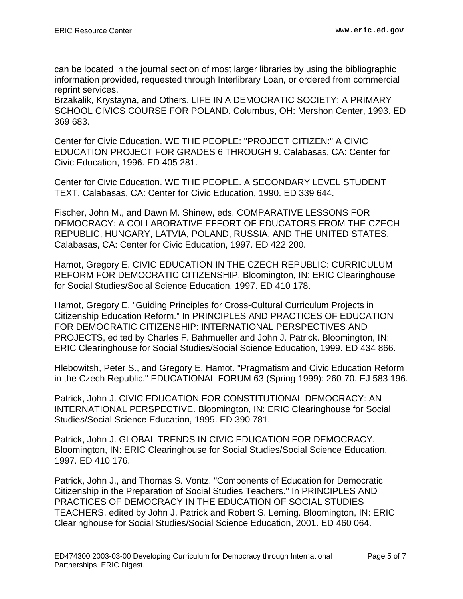can be located in the journal section of most larger libraries by using the bibliographic information provided, requested through Interlibrary Loan, or ordered from commercial reprint services.

Brzakalik, Krystayna, and Others. LIFE IN A DEMOCRATIC SOCIETY: A PRIMARY SCHOOL CIVICS COURSE FOR POLAND. Columbus, OH: Mershon Center, 1993. ED 369 683.

Center for Civic Education. WE THE PEOPLE: "PROJECT CITIZEN:" A CIVIC EDUCATION PROJECT FOR GRADES 6 THROUGH 9. Calabasas, CA: Center for Civic Education, 1996. ED 405 281.

Center for Civic Education. WE THE PEOPLE. A SECONDARY LEVEL STUDENT TEXT. Calabasas, CA: Center for Civic Education, 1990. ED 339 644.

Fischer, John M., and Dawn M. Shinew, eds. COMPARATIVE LESSONS FOR DEMOCRACY: A COLLABORATIVE EFFORT OF EDUCATORS FROM THE CZECH REPUBLIC, HUNGARY, LATVIA, POLAND, RUSSIA, AND THE UNITED STATES. Calabasas, CA: Center for Civic Education, 1997. ED 422 200.

Hamot, Gregory E. CIVIC EDUCATION IN THE CZECH REPUBLIC: CURRICULUM REFORM FOR DEMOCRATIC CITIZENSHIP. Bloomington, IN: ERIC Clearinghouse for Social Studies/Social Science Education, 1997. ED 410 178.

Hamot, Gregory E. "Guiding Principles for Cross-Cultural Curriculum Projects in Citizenship Education Reform." In PRINCIPLES AND PRACTICES OF EDUCATION FOR DEMOCRATIC CITIZENSHIP: INTERNATIONAL PERSPECTIVES AND PROJECTS, edited by Charles F. Bahmueller and John J. Patrick. Bloomington, IN: ERIC Clearinghouse for Social Studies/Social Science Education, 1999. ED 434 866.

Hlebowitsh, Peter S., and Gregory E. Hamot. "Pragmatism and Civic Education Reform in the Czech Republic." EDUCATIONAL FORUM 63 (Spring 1999): 260-70. EJ 583 196.

Patrick, John J. CIVIC EDUCATION FOR CONSTITUTIONAL DEMOCRACY: AN INTERNATIONAL PERSPECTIVE. Bloomington, IN: ERIC Clearinghouse for Social Studies/Social Science Education, 1995. ED 390 781.

Patrick, John J. GLOBAL TRENDS IN CIVIC EDUCATION FOR DEMOCRACY. Bloomington, IN: ERIC Clearinghouse for Social Studies/Social Science Education, 1997. ED 410 176.

Patrick, John J., and Thomas S. Vontz. "Components of Education for Democratic Citizenship in the Preparation of Social Studies Teachers." In PRINCIPLES AND PRACTICES OF DEMOCRACY IN THE EDUCATION OF SOCIAL STUDIES TEACHERS, edited by John J. Patrick and Robert S. Leming. Bloomington, IN: ERIC Clearinghouse for Social Studies/Social Science Education, 2001. ED 460 064.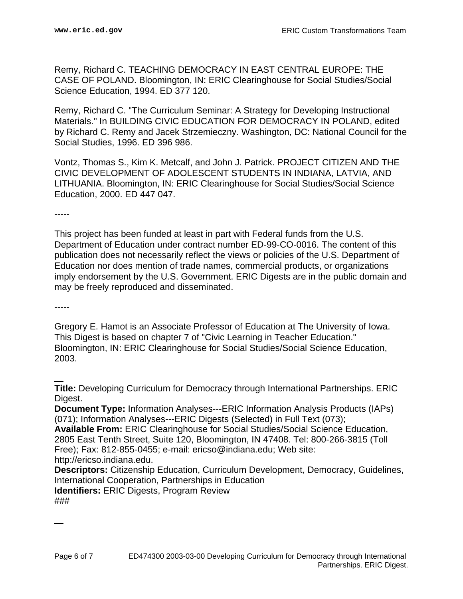Remy, Richard C. TEACHING DEMOCRACY IN EAST CENTRAL EUROPE: THE CASE OF POLAND. Bloomington, IN: ERIC Clearinghouse for Social Studies/Social Science Education, 1994. ED 377 120.

Remy, Richard C. "The Curriculum Seminar: A Strategy for Developing Instructional Materials." In BUILDING CIVIC EDUCATION FOR DEMOCRACY IN POLAND, edited by Richard C. Remy and Jacek Strzemieczny. Washington, DC: National Council for the Social Studies, 1996. ED 396 986.

Vontz, Thomas S., Kim K. Metcalf, and John J. Patrick. PROJECT CITIZEN AND THE CIVIC DEVELOPMENT OF ADOLESCENT STUDENTS IN INDIANA, LATVIA, AND LITHUANIA. Bloomington, IN: ERIC Clearinghouse for Social Studies/Social Science Education, 2000. ED 447 047.

-----

This project has been funded at least in part with Federal funds from the U.S. Department of Education under contract number ED-99-CO-0016. The content of this publication does not necessarily reflect the views or policies of the U.S. Department of Education nor does mention of trade names, commercial products, or organizations imply endorsement by the U.S. Government. ERIC Digests are in the public domain and may be freely reproduced and disseminated.

-----

Gregory E. Hamot is an Associate Professor of Education at The University of Iowa. This Digest is based on chapter 7 of "Civic Learning in Teacher Education." Bloomington, IN: ERIC Clearinghouse for Social Studies/Social Science Education, 2003.

**Title:** Developing Curriculum for Democracy through International Partnerships. ERIC Digest.

**Document Type:** Information Analyses---ERIC Information Analysis Products (IAPs) (071); Information Analyses---ERIC Digests (Selected) in Full Text (073);

**Available From:** ERIC Clearinghouse for Social Studies/Social Science Education, 2805 East Tenth Street, Suite 120, Bloomington, IN 47408. Tel: 800-266-3815 (Toll Free); Fax: 812-855-0455; e-mail: ericso@indiana.edu; Web site: http://ericso.indiana.edu.

**Descriptors:** Citizenship Education, Curriculum Development, Democracy, Guidelines, International Cooperation, Partnerships in Education

**Identifiers:** ERIC Digests, Program Review ###